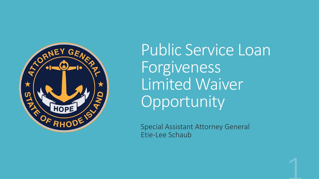

Public Service Loan Forgiveness Limited Waiver **Opportunity** 

Special Assistant Attorney General Etie-Lee Schaub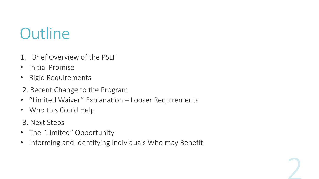### **Outline**

- 1. Brief Overview of the PSLF
- Initial Promise
- Rigid Requirements
- 2. Recent Change to the Program
- "Limited Waiver" Explanation Looser Requirements
- Who this Could Help
- 3. Next Steps
- The "Limited" Opportunity
- Informing and Identifying Individuals Who may Benefit

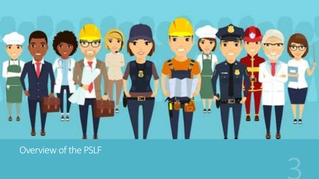

### Overview of the PSLF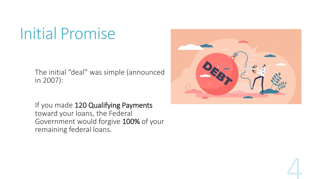### Initial Promise

The initial "deal" was simple (announced in 2007):

If you made 120 Qualifying Payments toward your loans, the Federal Government would forgive 100% of your remaining federal loans.

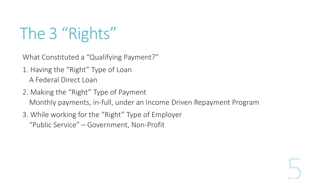# The 3 "Rights"

What Constituted a "Qualifying Payment?"

- 1. Having the "Right" Type of Loan A Federal Direct Loan
- 2. Making the "Right" Type of Payment Monthly payments, in-full, under an Income Driven Repayment Program
- 3. While working for the "Right" Type of Employer "Public Service" – Government, Non-Profit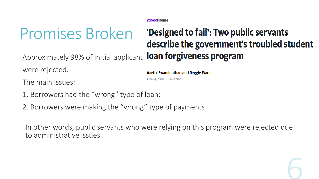vahoo/finance

### Promises Broken

### 'Designed to fail': Two public servants describe the government's troubled student Approximately 98% of initial applicant loan forgiveness program

were rejected.

The main issues:

- 1. Borrowers had the "wrong" type of loan:
- 2. Borrowers were making the "wrong" type of payments

In other words, public servants who were relying on this program were rejected due to administrative issues.

Aarthi Swaminathan and Reggie Wade

June 14, 2020 · 8 min read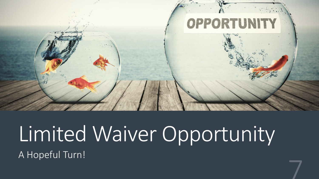

### Limited Waiver Opportunity A Hopeful Turn!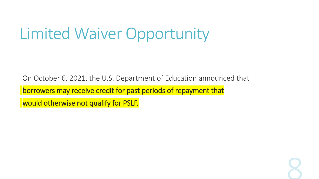### Limited Waiver Opportunity

On October 6, 2021, the U.S. Department of Education announced that

borrowers may receive credit for past periods of repayment that

would otherwise not qualify for PSLF.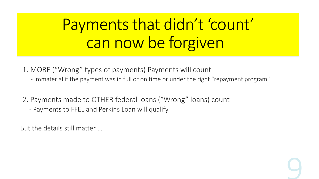# Payments that didn't 'count' can now be forgiven

- 1. MORE ("Wrong" types of payments) Payments will count
	- Immaterial if the payment was in full or on time or under the right "repayment program"
- 2. Payments made to OTHER federal loans ("Wrong" loans) count
	- Payments to FFEL and Perkins Loan will qualify

But the details still matter …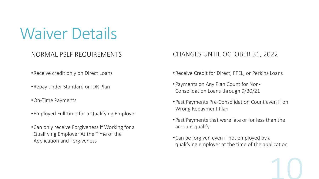Waiver Details

#### NORMAL PSLF REQUIREMENTS

- •Receive credit only on Direct Loans
- •Repay under Standard or IDR Plan
- •On-Time Payments
- •Employed Full-time for a Qualifying Employer
- •Can only receive Forgiveness if Working for a Qualifying Employer At the Time of the Application and Forgiveness

#### CHANGES UNTIL OCTOBER 31, 2022

- •Receive Credit for Direct, FFEL, or Perkins Loans
- •Payments on Any Plan Count for Non-Consolidation Loans through 9/30/21
- •Past Payments Pre-Consolidation Count even if on Wrong Repayment Plan
- •Past Payments that were late or for less than the amount qualify
- •Can be forgiven even if not employed by a qualifying employer at the time of the application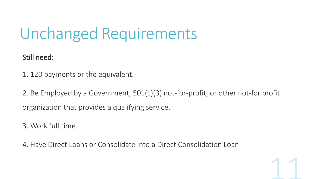### Unchanged Requirements

Still need:

1. 120 payments or the equivalent.

2. Be Employed by a Government, 501(c)(3) not-for-profit, or other not-for profit organization that provides a qualifying service.

3. Work full time.

4. Have Direct Loans or Consolidate into a Direct Consolidation Loan.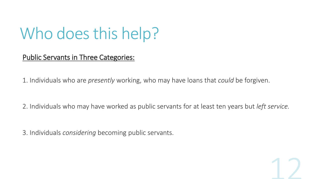### Who does this help?

#### Public Servants in Three Categories:

1. Individuals who are *presently* working, who may have loans that *could* be forgiven.

2. Individuals who may have worked as public servants for at least ten years but *left service.*

3. Individuals *considering* becoming public servants.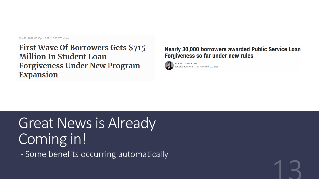Nov 10, 2021, 05:19pm EST | 569,876 views

**First Wave Of Borrowers Gets \$715 Million In Student Loan Forgiveness Under New Program Expansion** 

#### **Nearly 30,000 borrowers awarded Public Service Loan Forgiveness so far under new rules**



### Great News is Already Coming in!

- Some benefits occurring automatically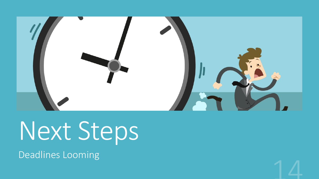

# Next Steps

Deadlines Looming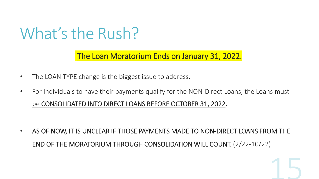### What's the Rush?

The Loan Moratorium Ends on January 31, 2022.

- The LOAN TYPE change is the biggest issue to address.
- For Individuals to have their payments qualify for the NON-Direct Loans, the Loans must be CONSOLIDATED INTO DIRECT LOANS BEFORE OCTOBER 31, 2022.

• AS OF NOW, IT IS UNCLEAR IF THOSE PAYMENTS MADE TO NON-DIRECT LOANS FROM THE END OF THE MORATORIUM THROUGH CONSOLIDATION WILL COUNT. (2/22-10/22)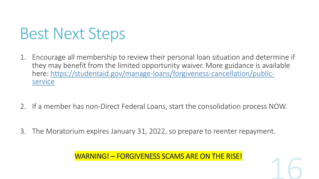### Best Next Steps

- 1. Encourage all membership to review their personal loan situation and determine if they may benefit from the limited opportunity waiver. More guidance is available [here: https://studentaid.gov/manage-loans/forgiveness-cancellation/public](https://studentaid.gov/manage-loans/forgiveness-cancellation/public-service)service
- 2. If a member has non-Direct Federal Loans, start the consolidation process NOW.
- 3. The Moratorium expires January 31, 2022, so prepare to reenter repayment.

WARNING! – FORGIVENESS SCAMS ARE ON THE RISE!